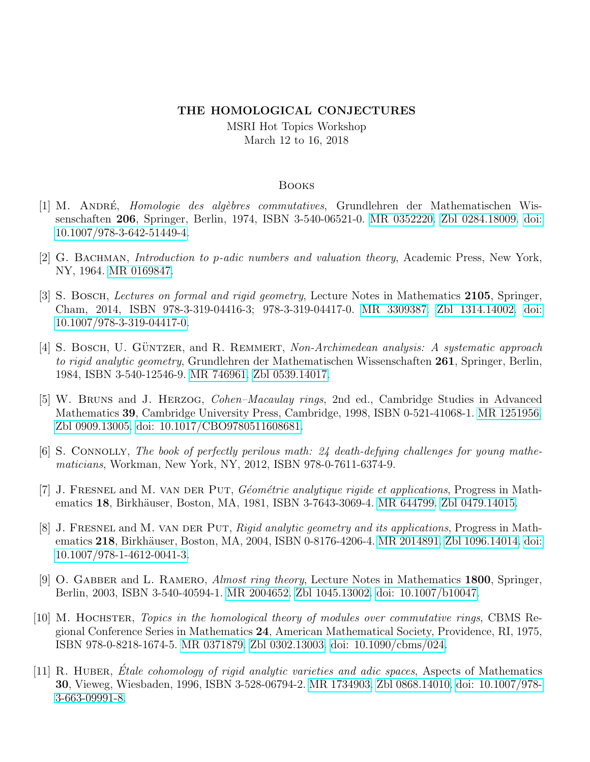## THE HOMOLOGICAL CONJECTURES

MSRI Hot Topics Workshop March 12 to 16, 2018

## Books

- [1] M. ANDRÉ, Homologie des algèbres commutatives, Grundlehren der Mathematischen Wissenschaften 206, Springer, Berlin, 1974, ISBN 3-540-06521-0. [MR 0352220.](http://www.ams.org/mathscinet-getitem?mr=0352220) [Zbl 0284.18009.](http://www.zbmath.org/?q=an:0284.18009) [doi:](http://dx.doi.org/10.1007/978-3-642-51449-4) [10.1007/978-3-642-51449-4.](http://dx.doi.org/10.1007/978-3-642-51449-4)
- [2] G. BACHMAN, *Introduction to p-adic numbers and valuation theory*, Academic Press, New York, NY, 1964. [MR 0169847.](http://www.ams.org/mathscinet-getitem?mr=0169847)
- [3] S. BOSCH, Lectures on formal and rigid geometry, Lecture Notes in Mathematics 2105, Springer, Cham, 2014, ISBN 978-3-319-04416-3; 978-3-319-04417-0. [MR 3309387.](http://www.ams.org/mathscinet-getitem?mr=3309387) [Zbl 1314.14002.](http://www.zbmath.org/?q=an:1314.14002) [doi:](http://dx.doi.org/10.1007/978-3-319-04417-0) [10.1007/978-3-319-04417-0.](http://dx.doi.org/10.1007/978-3-319-04417-0)
- [4] S. BOSCH, U. GÜNTZER, and R. REMMERT, Non-Archimedean analysis: A systematic approach to rigid analytic geometry, Grundlehren der Mathematischen Wissenschaften 261, Springer, Berlin, 1984, ISBN 3-540-12546-9. [MR 746961.](http://www.ams.org/mathscinet-getitem?mr=746961) [Zbl 0539.14017.](http://www.zbmath.org/?q=an:0539.14017)
- [5] W. Bruns and J. Herzog, Cohen–Macaulay rings, 2nd ed., Cambridge Studies in Advanced Mathematics 39, Cambridge University Press, Cambridge, 1998, ISBN 0-521-41068-1. [MR 1251956.](http://www.ams.org/mathscinet-getitem?mr=1251956) [Zbl 0909.13005.](http://www.zbmath.org/?q=an:0909.13005) [doi: 10.1017/CBO9780511608681.](http://dx.doi.org/10.1017/CBO9780511608681)
- [6] S. CONNOLLY, The book of perfectly perilous math:  $24$  death-defying challenges for young mathematicians, Workman, New York, NY, 2012, ISBN 978-0-7611-6374-9.
- $[7]$  J. FRESNEL and M. VAN DER PUT, Géométrie analytique rigide et applications, Progress in Math-ematics 18, Birkhäuser, Boston, MA, 1981, ISBN 3-7643-3069-4. [MR 644799.](http://www.ams.org/mathscinet-getitem?mr=644799) [Zbl 0479.14015.](http://www.zbmath.org/?q=an:0479.14015)
- [8] J. FRESNEL and M. VAN DER PUT, Rigid analytic geometry and its applications, Progress in Math-ematics 218, Birkhäuser, Boston, MA, 2004, ISBN 0-8176-4206-4. [MR 2014891.](http://www.ams.org/mathscinet-getitem?mr=2014891) [Zbl 1096.14014.](http://www.zbmath.org/?q=an:1096.14014) [doi:](http://dx.doi.org/10.1007/978-1-4612-0041-3) [10.1007/978-1-4612-0041-3.](http://dx.doi.org/10.1007/978-1-4612-0041-3)
- [9] O. GABBER and L. RAMERO, *Almost ring theory*, Lecture Notes in Mathematics 1800, Springer, Berlin, 2003, ISBN 3-540-40594-1. [MR 2004652.](http://www.ams.org/mathscinet-getitem?mr=2004652) [Zbl 1045.13002.](http://www.zbmath.org/?q=an:1045.13002) [doi: 10.1007/b10047.](http://dx.doi.org/10.1007/b10047)
- [10] M. HOCHSTER, Topics in the homological theory of modules over commutative rings, CBMS Regional Conference Series in Mathematics 24, American Mathematical Society, Providence, RI, 1975, ISBN 978-0-8218-1674-5. [MR 0371879.](http://www.ams.org/mathscinet-getitem?mr=0371879) [Zbl 0302.13003.](http://www.zbmath.org/?q=an:0302.13003) [doi: 10.1090/cbms/024.](http://dx.doi.org/10.1090/cbms/024)
- [11] R. HUBER, Etale cohomology of rigid analytic varieties and adic spaces, Aspects of Mathematics 30, Vieweg, Wiesbaden, 1996, ISBN 3-528-06794-2. [MR 1734903.](http://www.ams.org/mathscinet-getitem?mr=1734903) [Zbl 0868.14010.](http://www.zbmath.org/?q=an:0868.14010) [doi: 10.1007/978-](http://dx.doi.org/10.1007/978-3-663-09991-8) [3-663-09991-8.](http://dx.doi.org/10.1007/978-3-663-09991-8)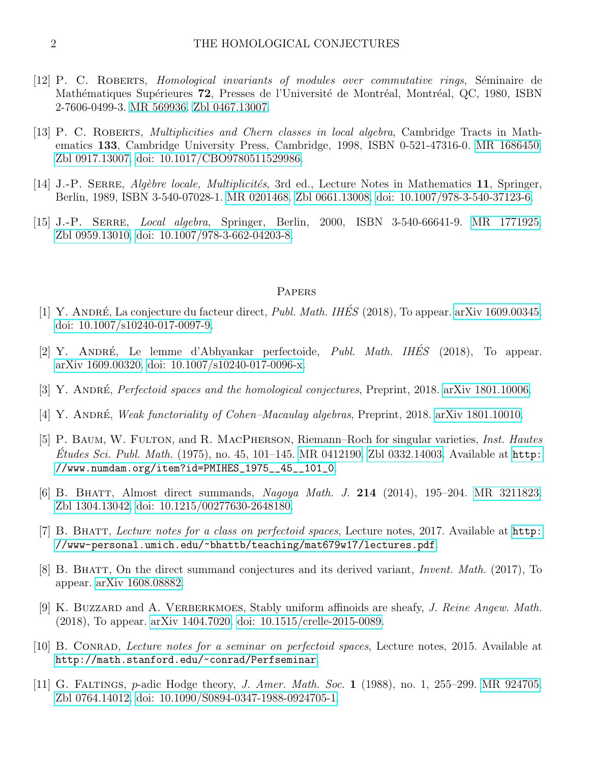- [12] P. C. ROBERTS, *Homological invariants of modules over commutative rings*, Séminaire de Mathématiques Supérieures 72, Presses de l'Université de Montréal, Montréal, QC, 1980, ISBN 2-7606-0499-3. [MR 569936.](http://www.ams.org/mathscinet-getitem?mr=569936) [Zbl 0467.13007.](http://www.zbmath.org/?q=an:0467.13007)
- [13] P. C. ROBERTS, *Multiplicities and Chern classes in local algebra*, Cambridge Tracts in Mathematics 133, Cambridge University Press, Cambridge, 1998, ISBN 0-521-47316-0. [MR 1686450.](http://www.ams.org/mathscinet-getitem?mr=1686450) [Zbl 0917.13007.](http://www.zbmath.org/?q=an:0917.13007) [doi: 10.1017/CBO9780511529986.](http://dx.doi.org/10.1017/CBO9780511529986)
- [14] J.-P. SERRE, *Algèbre locale, Multiplicités*, 3rd ed., Lecture Notes in Mathematics 11, Springer, Berlin, 1989, ISBN 3-540-07028-1. [MR 0201468.](http://www.ams.org/mathscinet-getitem?mr=0201468) [Zbl 0661.13008.](http://www.zbmath.org/?q=an:0661.13008) [doi: 10.1007/978-3-540-37123-6.](http://dx.doi.org/10.1007/978-3-540-37123-6)
- [15] J.-P. SERRE, *Local algebra*, Springer, Berlin, 2000, ISBN 3-540-66641-9. [MR 1771925.](http://www.ams.org/mathscinet-getitem?mr=1771925) [Zbl 0959.13010.](http://www.zbmath.org/?q=an:0959.13010) [doi: 10.1007/978-3-662-04203-8.](http://dx.doi.org/10.1007/978-3-662-04203-8)

## **PAPERS**

- [1] Y. ANDRÉ, La conjecture du facteur direct, *Publ. Math. IHÉS* (2018), To appear. [arXiv 1609.00345.](http://www.arxiv.org/abs/1609.00345) [doi: 10.1007/s10240-017-0097-9.](http://dx.doi.org/10.1007/s10240-017-0097-9)
- [2] Y. ANDRÉ, Le lemme d'Abhyankar perfectoide, Publ. Math. IHÉS (2018), To appear. [arXiv 1609.00320.](http://www.arxiv.org/abs/1609.00320) [doi: 10.1007/s10240-017-0096-x.](http://dx.doi.org/10.1007/s10240-017-0096-x)
- [3] Y. ANDRÉ, *Perfectoid spaces and the homological conjectures*, Preprint, 2018. [arXiv 1801.10006.](http://www.arxiv.org/abs/1801.10006)
- [4] Y. ANDRÉ, Weak functoriality of Cohen–Macaulay algebras, Preprint, 2018. [arXiv 1801.10010.](http://www.arxiv.org/abs/1801.10010)
- [5] P. BAUM, W. FULTON, and R. MACPHERSON, Riemann–Roch for singular varieties, *Inst. Hautes*  $\dot{E}$ tudes Sci. Publ. Math. (1975), no. 45, 101–145. [MR 0412190.](http://www.ams.org/mathscinet-getitem?mr=0412190) [Zbl 0332.14003.](http://www.zbmath.org/?q=an:0332.14003) Available at [http:](http://www.numdam.org/item?id=PMIHES_1975__45__101_0) [//www.numdam.org/item?id=PMIHES\\_1975\\_\\_45\\_\\_101\\_0](http://www.numdam.org/item?id=PMIHES_1975__45__101_0).
- [6] B. BHATT, Almost direct summands, Nagoya Math. J. 214 (2014), 195–204. [MR 3211823.](http://www.ams.org/mathscinet-getitem?mr=3211823) [Zbl 1304.13042.](http://www.zbmath.org/?q=an:1304.13042) [doi: 10.1215/00277630-2648180.](http://dx.doi.org/10.1215/00277630-2648180)
- [7] B. Bhatt, Lecture notes for a class on perfectoid spaces, Lecture notes, 2017. Available at [http:](http://www-personal.umich.edu/~bhattb/teaching/mat679w17/lectures.pdf) [//www-personal.umich.edu/~bhattb/teaching/mat679w17/lectures.pdf](http://www-personal.umich.edu/~bhattb/teaching/mat679w17/lectures.pdf).
- [8] B. Bhatt, On the direct summand conjectures and its derived variant, Invent. Math. (2017), To appear. [arXiv 1608.08882.](http://www.arxiv.org/abs/1608.08882)
- [9] K. BUZZARD and A. VERBERKMOES, Stably uniform affinoids are sheafy, J. Reine Angew. Math. (2018), To appear. [arXiv 1404.7020.](http://www.arxiv.org/abs/1404.7020) [doi: 10.1515/crelle-2015-0089.](http://dx.doi.org/10.1515/crelle-2015-0089)
- [10] B. Conrad, Lecture notes for a seminar on perfectoid spaces, Lecture notes, 2015. Available at <http://math.stanford.edu/~conrad/Perfseminar>.
- [11] G. Faltings, p-adic Hodge theory, J. Amer. Math. Soc. 1 (1988), no. 1, 255–299. [MR 924705.](http://www.ams.org/mathscinet-getitem?mr=924705) [Zbl 0764.14012.](http://www.zbmath.org/?q=an:0764.14012) [doi: 10.1090/S0894-0347-1988-0924705-1.](http://dx.doi.org/10.1090/S0894-0347-1988-0924705-1)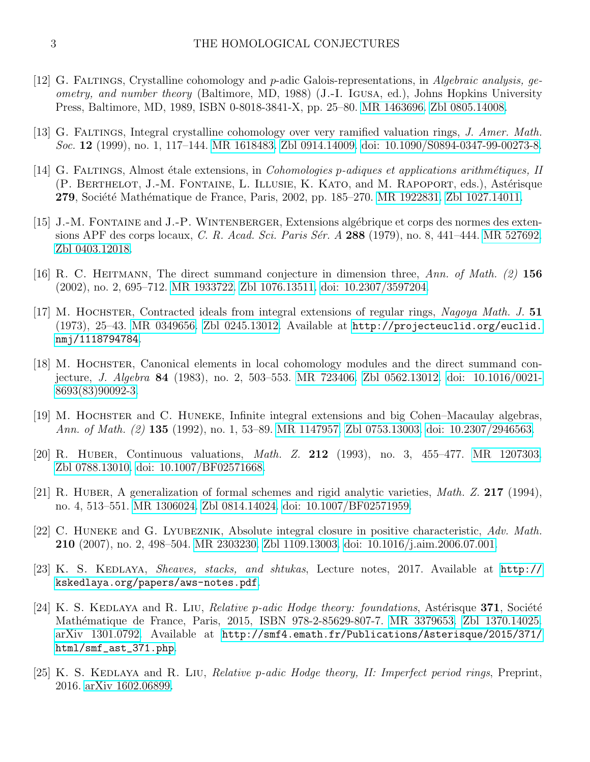- [12] G. Faltings, Crystalline cohomology and p-adic Galois-representations, in Algebraic analysis, geometry, and number theory (Baltimore, MD, 1988) (J.-I. Igusa, ed.), Johns Hopkins University Press, Baltimore, MD, 1989, ISBN 0-8018-3841-X, pp. 25–80. [MR 1463696.](http://www.ams.org/mathscinet-getitem?mr=1463696) [Zbl 0805.14008.](http://www.zbmath.org/?q=an:0805.14008)
- [13] G. Faltings, Integral crystalline cohomology over very ramified valuation rings, J. Amer. Math. Soc. 12 (1999), no. 1, 117–144. [MR 1618483.](http://www.ams.org/mathscinet-getitem?mr=1618483) [Zbl 0914.14009.](http://www.zbmath.org/?q=an:0914.14009) [doi: 10.1090/S0894-0347-99-00273-8.](http://dx.doi.org/10.1090/S0894-0347-99-00273-8)
- [14] G. FALTINGS, Almost étale extensions, in *Cohomologies p-adiques et applications arithmétiques*, II (P. BERTHELOT, J.-M. FONTAINE, L. ILLUSIE, K. KATO, and M. RAPOPORT, eds.), Astérisque 279, Société Mathématique de France, Paris, 2002, pp. 185–270. [MR 1922831.](http://www.ams.org/mathscinet-getitem?mr=1922831) [Zbl 1027.14011.](http://www.zbmath.org/?q=an:1027.14011)
- [15] J.-M. FONTAINE and J.-P. WINTENBERGER, Extensions algébrique et corps des normes des exten-sions APF des corps locaux, C. R. Acad. Sci. Paris Sér. A 288 (1979), no. 8, 441–444. [MR 527692.](http://www.ams.org/mathscinet-getitem?mr=527692) [Zbl 0403.12018.](http://www.zbmath.org/?q=an:0403.12018)
- [16] R. C. HEITMANN, The direct summand conjecture in dimension three, Ann. of Math. (2) 156 (2002), no. 2, 695–712. [MR 1933722.](http://www.ams.org/mathscinet-getitem?mr=1933722) [Zbl 1076.13511.](http://www.zbmath.org/?q=an:1076.13511) [doi: 10.2307/3597204.](http://dx.doi.org/10.2307/3597204)
- [17] M. HOCHSTER, Contracted ideals from integral extensions of regular rings, Nagoya Math. J. 51 (1973), 25–43. [MR 0349656.](http://www.ams.org/mathscinet-getitem?mr=0349656) [Zbl 0245.13012.](http://www.zbmath.org/?q=an:0245.13012) Available at [http://projecteuclid.org/euclid.](http://projecteuclid.org/euclid.nmj/1118794784) [nmj/1118794784](http://projecteuclid.org/euclid.nmj/1118794784).
- [18] M. HOCHSTER, Canonical elements in local cohomology modules and the direct summand conjecture, J. Algebra 84 (1983), no. 2, 503–553. [MR 723406.](http://www.ams.org/mathscinet-getitem?mr=723406) [Zbl 0562.13012.](http://www.zbmath.org/?q=an:0562.13012) [doi: 10.1016/0021-](http://dx.doi.org/10.1016/0021-8693(83)90092-3) [8693\(83\)90092-3.](http://dx.doi.org/10.1016/0021-8693(83)90092-3)
- [19] M. HOCHSTER and C. HUNEKE, Infinite integral extensions and big Cohen–Macaulay algebras, Ann. of Math. (2) 135 (1992), no. 1, 53–89. [MR 1147957.](http://www.ams.org/mathscinet-getitem?mr=1147957) [Zbl 0753.13003.](http://www.zbmath.org/?q=an:0753.13003) [doi: 10.2307/2946563.](http://dx.doi.org/10.2307/2946563)
- [20] R. HUBER, Continuous valuations, *Math. Z.* **212** (1993), no. 3, 455–477. [MR 1207303.](http://www.ams.org/mathscinet-getitem?mr=1207303) [Zbl 0788.13010.](http://www.zbmath.org/?q=an:0788.13010) [doi: 10.1007/BF02571668.](http://dx.doi.org/10.1007/BF02571668)
- [21] R. HUBER, A generalization of formal schemes and rigid analytic varieties, *Math. Z.* 217 (1994), no. 4, 513–551. [MR 1306024.](http://www.ams.org/mathscinet-getitem?mr=1306024) [Zbl 0814.14024.](http://www.zbmath.org/?q=an:0814.14024) [doi: 10.1007/BF02571959.](http://dx.doi.org/10.1007/BF02571959)
- [22] C. Huneke and G. Lyubeznik, Absolute integral closure in positive characteristic, Adv. Math. 210 (2007), no. 2, 498–504. [MR 2303230.](http://www.ams.org/mathscinet-getitem?mr=2303230) [Zbl 1109.13003.](http://www.zbmath.org/?q=an:1109.13003) [doi: 10.1016/j.aim.2006.07.001.](http://dx.doi.org/10.1016/j.aim.2006.07.001)
- [23] K. S. KEDLAYA, *Sheaves, stacks, and shtukas*, Lecture notes, 2017. Available at [http://](http://kskedlaya.org/papers/aws-notes.pdf) [kskedlaya.org/papers/aws-notes.pdf](http://kskedlaya.org/papers/aws-notes.pdf).
- [24] K. S. KEDLAYA and R. LIU, *Relative p-adic Hodge theory: foundations*, Astérisque 371, Société Mathématique de France, Paris, 2015, ISBN 978-2-85629-807-7. [MR 3379653.](http://www.ams.org/mathscinet-getitem?mr=3379653) [Zbl 1370.14025.](http://www.zbmath.org/?q=an:1370.14025) [arXiv 1301.0792.](http://www.arxiv.org/abs/1301.0792) Available at [http://smf4.emath.fr/Publications/Asterisque/2015/371/](http://smf4.emath.fr/Publications/Asterisque/2015/371/html/smf_ast_371.php) [html/smf\\_ast\\_371.php](http://smf4.emath.fr/Publications/Asterisque/2015/371/html/smf_ast_371.php).
- [25] K. S. KEDLAYA and R. LIU, *Relative p-adic Hodge theory, II: Imperfect period rings*, Preprint, 2016. [arXiv 1602.06899.](http://www.arxiv.org/abs/1602.06899)